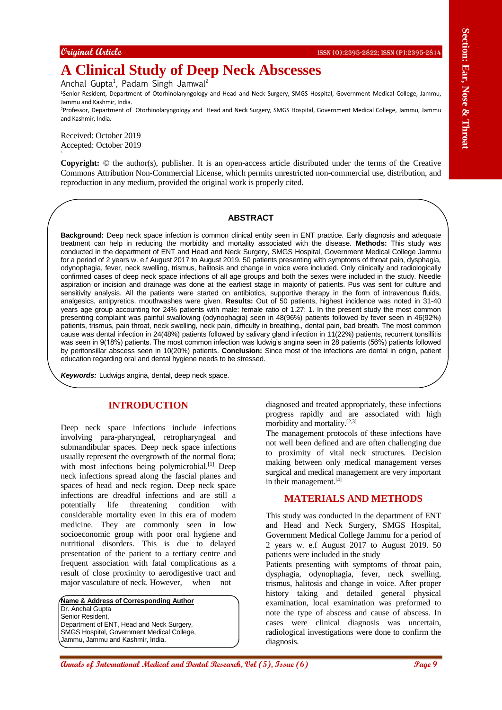# **A Clinical Study of Deep Neck Abscesses**

Anchal Gupta<sup>1</sup>, Padam Singh Jamwal<sup>2</sup>

<sup>1</sup>Senior Resident, Department of Otorhinolaryngology and Head and Neck Surgery, SMGS Hospital, Government Medical College, Jammu, Jammu and Kashmir, India.

<sup>2</sup>Professor, Department of Otorhinolaryngology and Head and Neck Surgery, SMGS Hospital, Government Medical College, Jammu, Jammu and Kashmir, India.

Received: October 2019 Accepted: October 2019

`

**Copyright:** © the author(s), publisher. It is an open-access article distributed under the terms of the Creative Commons Attribution Non-Commercial License, which permits unrestricted non-commercial use, distribution, and reproduction in any medium, provided the original work is properly cited.

#### **ABSTRACT**

Conjective Corresponds of **December 2011 Corresponds the correspondent of the Correspondent Correspondent Correspondent Correspondent Correspondent Correspondent Correspondent Correspondent Correspondent Correspondent C Background:** Deep neck space infection is common clinical entity seen in ENT practice. Early diagnosis and adequate treatment can help in reducing the morbidity and mortality associated with the disease. **Methods:** This study was conducted in the department of ENT and Head and Neck Surgery, SMGS Hospital, Government Medical College Jammu for a period of 2 years w. e.f August 2017 to August 2019. 50 patients presenting with symptoms of throat pain, dysphagia, odynophagia, fever, neck swelling, trismus, halitosis and change in voice were included. Only clinically and radiologically confirmed cases of deep neck space infections of all age groups and both the sexes were included in the study. Needle aspiration or incision and drainage was done at the earliest stage in majority of patients. Pus was sent for culture and sensitivity analysis. All the patients were started on antibiotics, supportive therapy in the form of intravenous fluids, analgesics, antipyretics, mouthwashes were given. **Results:** Out of 50 patients, highest incidence was noted in 31-40 years age group accounting for 24% patients with male: female ratio of 1.27: 1. In the present study the most common presenting complaint was painful swallowing (odynophagia) seen in 48(96%) patients followed by fever seen in 46(92%) patients, trismus, pain throat, neck swelling, neck pain, difficulty in breathing., dental pain, bad breath. The most common cause was dental infection in 24(48%) patients followed by salivary gland infection in 11(22%) patients, recurrent tonsillitis was seen in 9(18%) patients. The most common infection was ludwig's angina seen in 28 patients (56%) patients followed by peritonsillar abscess seen in 10(20%) patients. **Conclusion:** Since most of the infections are dental in origin, patient education regarding oral and dental hygiene needs to be stressed.

*Keywords:* Ludwigs angina, dental, deep neck space.

## **INTRODUCTION**

Deep neck space infections include infections involving para-pharyngeal, retropharyngeal and submandibular spaces. Deep neck space infections usually represent the overgrowth of the normal flora; with most infections being polymicrobial.<sup>[1]</sup> Deep neck infections spread along the fascial planes and spaces of head and neck region. Deep neck space infections are dreadful infections and are still a potentially life threatening condition with considerable mortality even in this era of modern medicine. They are commonly seen in low socioeconomic group with poor oral hygiene and nutritional disorders. This is due to delayed presentation of the patient to a tertiary centre and frequent association with fatal complications as a result of close proximity to aerodigestive tract and major vasculature of neck. However, when not

**Name & Address of Corresponding Author** Dr. Anchal Gupta Senior Resident, Department of ENT, Head and Neck Surgery, SMGS Hospital, Government Medical College, Jammu, Jammu and Kashmir, India.

diagnosed and treated appropriately, these infections progress rapidly and are associated with high morbidity and mortality.[2,3]

The management protocols of these infections have not well been defined and are often challenging due to proximity of vital neck structures. Decision making between only medical management verses surgical and medical management are very important in their management.<sup>[4]</sup>

# **MATERIALS AND METHODS**

This study was conducted in the department of ENT and Head and Neck Surgery, SMGS Hospital, Government Medical College Jammu for a period of 2 years w. e.f August 2017 to August 2019. 50 patients were included in the study

Patients presenting with symptoms of throat pain, dysphagia, odynophagia, fever, neck swelling, trismus, halitosis and change in voice. After proper history taking and detailed general physical examination, local examination was preformed to note the type of abscess and cause of abscess. In cases were clinical diagnosis was uncertain, radiological investigations were done to confirm the diagnosis.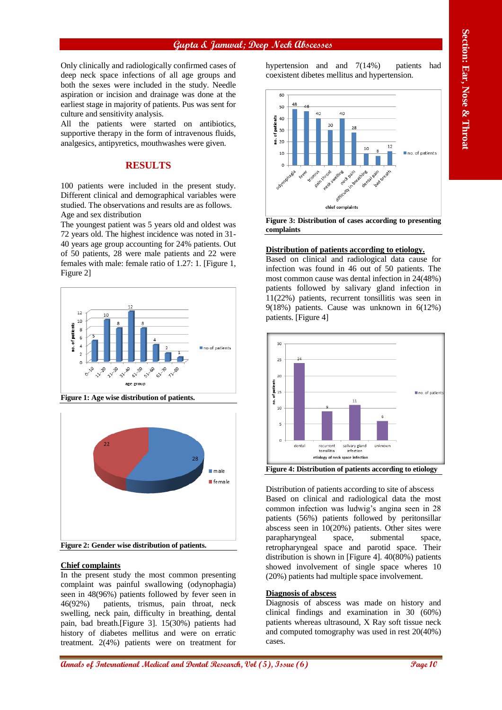## **Gupta & Jamwal; Deep Neck Abscesses**

Only clinically and radiologically confirmed cases of deep neck space infections of all age groups and both the sexes were included in the study. Needle aspiration or incision and drainage was done at the earliest stage in majority of patients. Pus was sent for culture and sensitivity analysis.

All the patients were started on antibiotics, supportive therapy in the form of intravenous fluids, analgesics, antipyretics, mouthwashes were given.

# **RESULTS**

100 patients were included in the present study. Different clinical and demographical variables were studied. The observations and results are as follows. Age and sex distribution

The youngest patient was 5 years old and oldest was 72 years old. The highest incidence was noted in 31- 40 years age group accounting for 24% patients. Out of 50 patients, 28 were male patients and 22 were females with male: female ratio of 1.27: 1. [Figure 1, Figure 2]



**Figure 1: Age wise distribution of patients.**



#### **Chief complaints**

In the present study the most common presenting complaint was painful swallowing (odynophagia) seen in 48(96%) patients followed by fever seen in 46(92%) patients, trismus, pain throat, neck swelling, neck pain, difficulty in breathing, dental pain, bad breath.[Figure 3]. 15(30%) patients had history of diabetes mellitus and were on erratic treatment. 2(4%) patients were on treatment for

hypertension and and 7(14%) patients had coexistent dibetes mellitus and hypertension.



**Figure 3: Distribution of cases according to presenting complaints**

#### **Distribution of patients according to etiology.**

Based on clinical and radiological data cause for infection was found in 46 out of 50 patients. The most common cause was dental infection in 24(48%) patients followed by salivary gland infection in 11(22%) patients, recurrent tonsillitis was seen in 9(18%) patients. Cause was unknown in 6(12%) patients. [Figure 4]



Distribution of patients according to site of abscess Based on clinical and radiological data the most common infection was ludwig's angina seen in 28 patients (56%) patients followed by peritonsillar abscess seen in 10(20%) patients. Other sites were parapharyngeal space, submental space, retropharyngeal space and parotid space. Their distribution is shown in [Figure 4]. 40(80%) patients showed involvement of single space wheres 10 (20%) patients had multiple space involvement.

#### **Diagnosis of abscess**

Diagnosis of abscess was made on history and clinical findings and examination in 30 (60%) patients whereas ultrasound, X Ray soft tissue neck and computed tomography was used in rest 20(40%) cases.